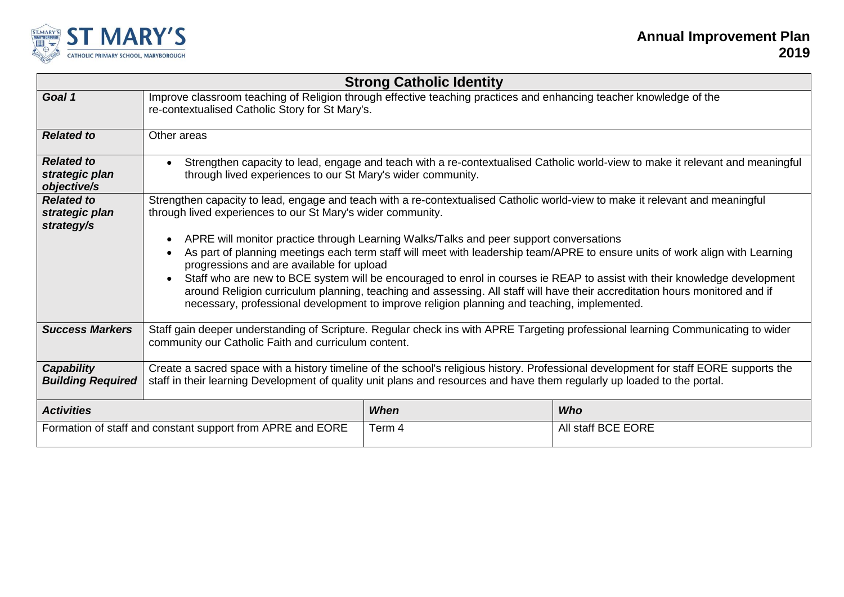

| <b>Strong Catholic Identity</b>                            |                                                                                                                                                                                                                                                                                                                                                                                                                                                                                                                                                                                                                                                                                                                                                                                                                                             |             |                    |  |  |  |
|------------------------------------------------------------|---------------------------------------------------------------------------------------------------------------------------------------------------------------------------------------------------------------------------------------------------------------------------------------------------------------------------------------------------------------------------------------------------------------------------------------------------------------------------------------------------------------------------------------------------------------------------------------------------------------------------------------------------------------------------------------------------------------------------------------------------------------------------------------------------------------------------------------------|-------------|--------------------|--|--|--|
| Goal 1                                                     | Improve classroom teaching of Religion through effective teaching practices and enhancing teacher knowledge of the<br>re-contextualised Catholic Story for St Mary's.                                                                                                                                                                                                                                                                                                                                                                                                                                                                                                                                                                                                                                                                       |             |                    |  |  |  |
| <b>Related to</b>                                          | Other areas                                                                                                                                                                                                                                                                                                                                                                                                                                                                                                                                                                                                                                                                                                                                                                                                                                 |             |                    |  |  |  |
| <b>Related to</b><br>strategic plan<br>objective/s         | Strengthen capacity to lead, engage and teach with a re-contextualised Catholic world-view to make it relevant and meaningful<br>through lived experiences to our St Mary's wider community.                                                                                                                                                                                                                                                                                                                                                                                                                                                                                                                                                                                                                                                |             |                    |  |  |  |
| <b>Related to</b><br>strategic plan<br>strategy/s          | Strengthen capacity to lead, engage and teach with a re-contextualised Catholic world-view to make it relevant and meaningful<br>through lived experiences to our St Mary's wider community.<br>APRE will monitor practice through Learning Walks/Talks and peer support conversations<br>As part of planning meetings each term staff will meet with leadership team/APRE to ensure units of work align with Learning<br>progressions and are available for upload<br>Staff who are new to BCE system will be encouraged to enrol in courses ie REAP to assist with their knowledge development<br>$\bullet$<br>around Religion curriculum planning, teaching and assessing. All staff will have their accreditation hours monitored and if<br>necessary, professional development to improve religion planning and teaching, implemented. |             |                    |  |  |  |
| <b>Success Markers</b>                                     | Staff gain deeper understanding of Scripture. Regular check ins with APRE Targeting professional learning Communicating to wider<br>community our Catholic Faith and curriculum content.                                                                                                                                                                                                                                                                                                                                                                                                                                                                                                                                                                                                                                                    |             |                    |  |  |  |
| Capability<br><b>Building Required</b>                     | Create a sacred space with a history timeline of the school's religious history. Professional development for staff EORE supports the<br>staff in their learning Development of quality unit plans and resources and have them regularly up loaded to the portal.                                                                                                                                                                                                                                                                                                                                                                                                                                                                                                                                                                           |             |                    |  |  |  |
| <b>Activities</b>                                          |                                                                                                                                                                                                                                                                                                                                                                                                                                                                                                                                                                                                                                                                                                                                                                                                                                             | <b>When</b> | <b>Who</b>         |  |  |  |
| Formation of staff and constant support from APRE and EORE |                                                                                                                                                                                                                                                                                                                                                                                                                                                                                                                                                                                                                                                                                                                                                                                                                                             | Term 4      | All staff BCE EORE |  |  |  |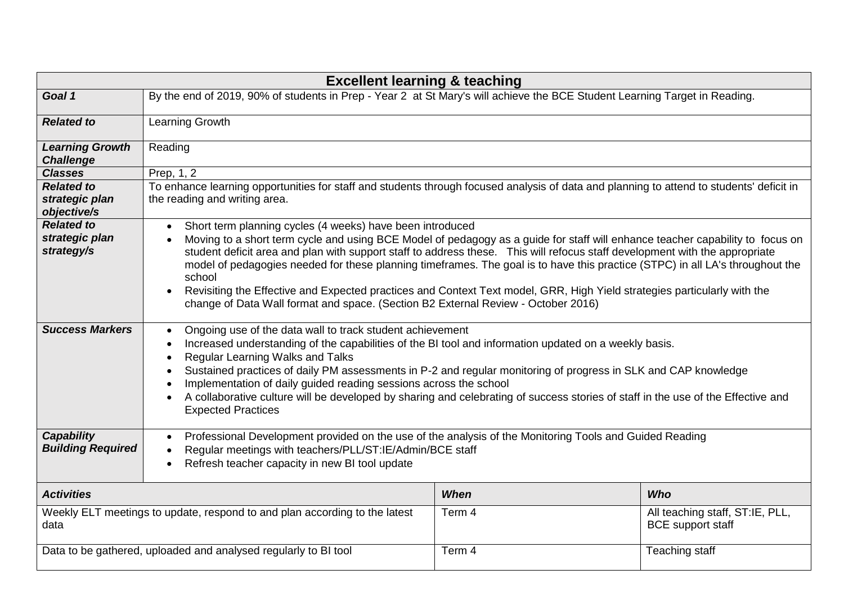| <b>Excellent learning &amp; teaching</b>                                           |                                                                                                                                                                                                                                                                                                                                                                                                                                                                                                                                                                                                                                                                                                                 |             |                                                             |  |  |  |
|------------------------------------------------------------------------------------|-----------------------------------------------------------------------------------------------------------------------------------------------------------------------------------------------------------------------------------------------------------------------------------------------------------------------------------------------------------------------------------------------------------------------------------------------------------------------------------------------------------------------------------------------------------------------------------------------------------------------------------------------------------------------------------------------------------------|-------------|-------------------------------------------------------------|--|--|--|
| Goal 1                                                                             | By the end of 2019, 90% of students in Prep - Year 2 at St Mary's will achieve the BCE Student Learning Target in Reading.                                                                                                                                                                                                                                                                                                                                                                                                                                                                                                                                                                                      |             |                                                             |  |  |  |
| <b>Related to</b>                                                                  | Learning Growth                                                                                                                                                                                                                                                                                                                                                                                                                                                                                                                                                                                                                                                                                                 |             |                                                             |  |  |  |
| <b>Learning Growth</b><br><b>Challenge</b>                                         | Reading                                                                                                                                                                                                                                                                                                                                                                                                                                                                                                                                                                                                                                                                                                         |             |                                                             |  |  |  |
| <b>Classes</b>                                                                     | Prep. 1, 2                                                                                                                                                                                                                                                                                                                                                                                                                                                                                                                                                                                                                                                                                                      |             |                                                             |  |  |  |
| <b>Related to</b><br>strategic plan<br>objective/s                                 | To enhance learning opportunities for staff and students through focused analysis of data and planning to attend to students' deficit in<br>the reading and writing area.                                                                                                                                                                                                                                                                                                                                                                                                                                                                                                                                       |             |                                                             |  |  |  |
| <b>Related to</b><br>strategic plan<br>strategy/s                                  | Short term planning cycles (4 weeks) have been introduced<br>$\bullet$<br>Moving to a short term cycle and using BCE Model of pedagogy as a guide for staff will enhance teacher capability to focus on<br>$\bullet$<br>student deficit area and plan with support staff to address these. This will refocus staff development with the appropriate<br>model of pedagogies needed for these planning timeframes. The goal is to have this practice (STPC) in all LA's throughout the<br>school<br>Revisiting the Effective and Expected practices and Context Text model, GRR, High Yield strategies particularly with the<br>change of Data Wall format and space. (Section B2 External Review - October 2016) |             |                                                             |  |  |  |
| <b>Success Markers</b>                                                             | Ongoing use of the data wall to track student achievement<br>$\bullet$<br>Increased understanding of the capabilities of the BI tool and information updated on a weekly basis.<br>$\bullet$<br>Regular Learning Walks and Talks<br>$\bullet$<br>Sustained practices of daily PM assessments in P-2 and regular monitoring of progress in SLK and CAP knowledge<br>Implementation of daily guided reading sessions across the school<br>A collaborative culture will be developed by sharing and celebrating of success stories of staff in the use of the Effective and<br><b>Expected Practices</b>                                                                                                           |             |                                                             |  |  |  |
| Capability<br><b>Building Required</b>                                             | Professional Development provided on the use of the analysis of the Monitoring Tools and Guided Reading<br>$\bullet$<br>Regular meetings with teachers/PLL/ST:IE/Admin/BCE staff<br>$\bullet$<br>Refresh teacher capacity in new BI tool update<br>$\bullet$                                                                                                                                                                                                                                                                                                                                                                                                                                                    |             |                                                             |  |  |  |
| <b>Activities</b>                                                                  |                                                                                                                                                                                                                                                                                                                                                                                                                                                                                                                                                                                                                                                                                                                 | <b>When</b> | <b>Who</b>                                                  |  |  |  |
| Weekly ELT meetings to update, respond to and plan according to the latest<br>data |                                                                                                                                                                                                                                                                                                                                                                                                                                                                                                                                                                                                                                                                                                                 | Term 4      | All teaching staff, ST:IE, PLL,<br><b>BCE</b> support staff |  |  |  |
| Data to be gathered, uploaded and analysed regularly to BI tool                    |                                                                                                                                                                                                                                                                                                                                                                                                                                                                                                                                                                                                                                                                                                                 | Term 4      | <b>Teaching staff</b>                                       |  |  |  |